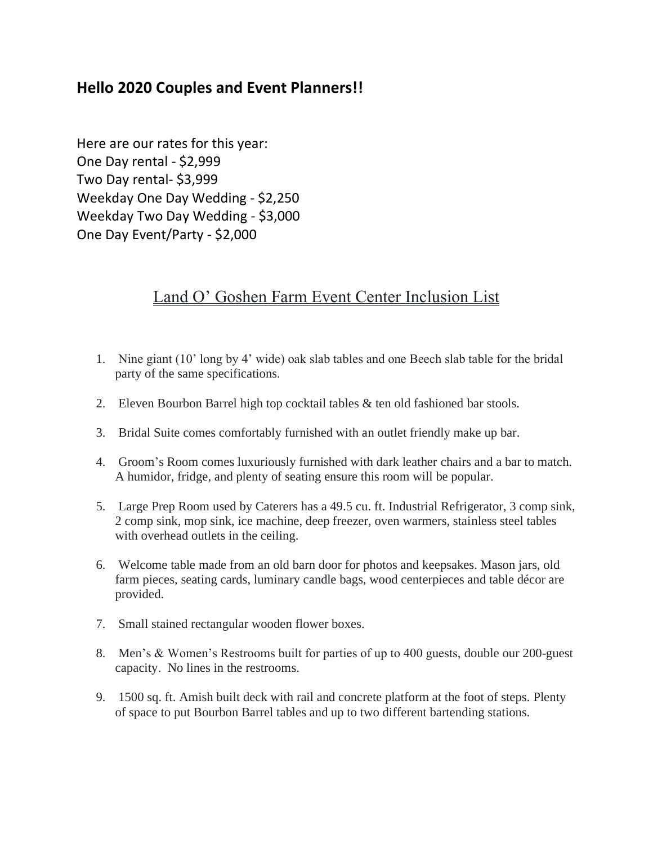## **Hello 2020 Couples and Event Planners!!**

Here are our rates for this year: One Day rental - \$2,999 Two Day rental- \$3,999 Weekday One Day Wedding - \$2,250 Weekday Two Day Wedding - \$3,000 One Day Event/Party - \$2,000

# Land O' Goshen Farm Event Center Inclusion List

- 1. Nine giant (10' long by 4' wide) oak slab tables and one Beech slab table for the bridal party of the same specifications.
- 2. Eleven Bourbon Barrel high top cocktail tables & ten old fashioned bar stools.
- 3. Bridal Suite comes comfortably furnished with an outlet friendly make up bar.
- 4. Groom's Room comes luxuriously furnished with dark leather chairs and a bar to match. A humidor, fridge, and plenty of seating ensure this room will be popular.
- 5. Large Prep Room used by Caterers has a 49.5 cu. ft. Industrial Refrigerator, 3 comp sink, 2 comp sink, mop sink, ice machine, deep freezer, oven warmers, stainless steel tables with overhead outlets in the ceiling.
- 6. Welcome table made from an old barn door for photos and keepsakes. Mason jars, old farm pieces, seating cards, luminary candle bags, wood centerpieces and table décor are provided.
- 7. Small stained rectangular wooden flower boxes.
- 8. Men's & Women's Restrooms built for parties of up to 400 guests, double our 200-guest capacity. No lines in the restrooms.
- 9. 1500 sq. ft. Amish built deck with rail and concrete platform at the foot of steps. Plenty of space to put Bourbon Barrel tables and up to two different bartending stations.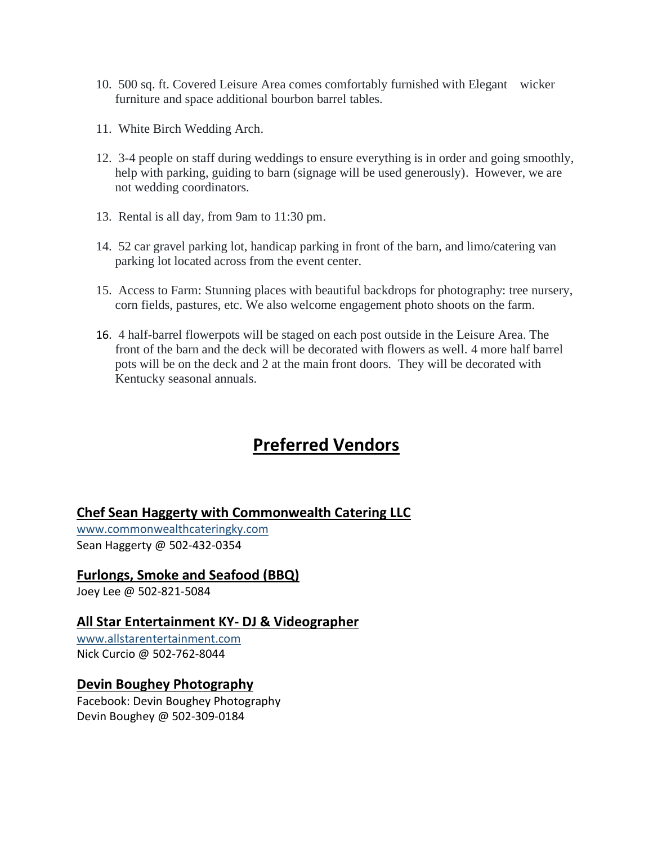- 10. 500 sq. ft. Covered Leisure Area comes comfortably furnished with Elegant wicker furniture and space additional bourbon barrel tables.
- 11. White Birch Wedding Arch.
- 12. 3-4 people on staff during weddings to ensure everything is in order and going smoothly, help with parking, guiding to barn (signage will be used generously). However, we are not wedding coordinators.
- 13. Rental is all day, from 9am to 11:30 pm.
- 14. 52 car gravel parking lot, handicap parking in front of the barn, and limo/catering van parking lot located across from the event center.
- 15. Access to Farm: Stunning places with beautiful backdrops for photography: tree nursery, corn fields, pastures, etc. We also welcome engagement photo shoots on the farm.
- 16. 4 half-barrel flowerpots will be staged on each post outside in the Leisure Area. The front of the barn and the deck will be decorated with flowers as well. 4 more half barrel pots will be on the deck and 2 at the main front doors. They will be decorated with Kentucky seasonal annuals.

# **Preferred Vendors**

**Chef Sean Haggerty with Commonwealth Catering LLC**

[www.commonwealthcateringky.com](http://www.commonwealthcateringky.com/) Sean Haggerty @ 502-432-0354

## **Furlongs, Smoke and Seafood (BBQ)**

Joey Lee @ 502-821-5084

## **All Star Entertainment KY- DJ & Videographer**

[www.allstarentertainment.com](http://www.allstarentertainment.com/) Nick Curcio @ 502-762-8044

#### **Devin Boughey Photography**

Facebook: Devin Boughey Photography Devin Boughey @ 502-309-0184